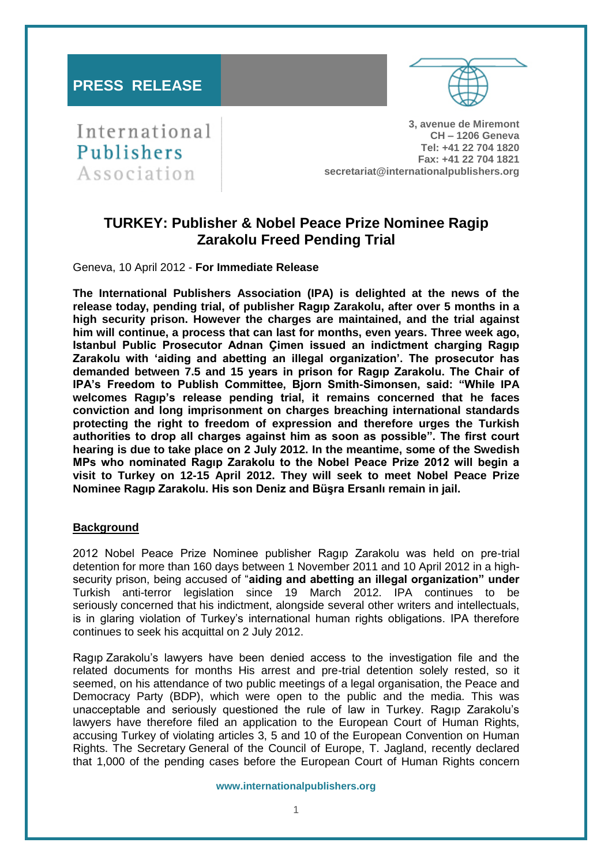## **PRESS RELEASE**



International Publishers Association

**3, avenue de Miremont CH – 1206 Geneva Tel: +41 22 704 1820 Fax: +41 22 704 1821 secretariat@internationalpublishers.org**

# **TURKEY: Publisher & Nobel Peace Prize Nominee Ragip Zarakolu Freed Pending Trial**

Geneva, 10 April 2012 - **For Immediate Release**

**The International Publishers Association (IPA) is delighted at the news of the release today, pending trial, of publisher Ragıp Zarakolu, after over 5 months in a high security prison. However the charges are maintained, and the trial against him will continue, a process that can last for months, even years. Three week ago, Istanbul Public Prosecutor Adnan Çimen issued an indictment charging Ragıp Zarakolu with 'aiding and abetting an illegal organization'. The prosecutor has demanded between 7.5 and 15 years in prison for Ragıp Zarakolu. The Chair of IPA's Freedom to Publish Committee, Bjorn Smith-Simonsen, said: "While IPA welcomes Ragıp's release pending trial, it remains concerned that he faces conviction and long imprisonment on charges breaching international standards protecting the right to freedom of expression and therefore urges the Turkish authorities to drop all charges against him as soon as possible". The first court hearing is due to take place on 2 July 2012. In the meantime, some of the Swedish MPs who nominated Ragıp Zarakolu to the Nobel Peace Prize 2012 will begin a visit to Turkey on 12-15 April 2012. They will seek to meet Nobel Peace Prize Nominee Ragıp Zarakolu. His son Deniz and Büşra Ersanlı remain in jail.** 

### **Background**

2012 Nobel Peace Prize Nominee publisher Ragıp Zarakolu was held on pre-trial detention for more than 160 days between 1 November 2011 and 10 April 2012 in a highsecurity prison, being accused of "**aiding and abetting an illegal organization" under**  Turkish anti-terror legislation since 19 March 2012. IPA continues to be seriously concerned that his indictment, alongside several other writers and intellectuals, is in glaring violation of Turkey's international human rights obligations. IPA therefore continues to seek his acquittal on 2 July 2012.

Ragıp Zarakolu's lawyers have been denied access to the investigation file and the related documents for months His arrest and pre-trial detention solely rested, so it seemed, on his attendance of two public meetings of a legal organisation, the Peace and Democracy Party (BDP), which were open to the public and the media. This was unacceptable and seriously questioned the rule of law in Turkey. Ragıp Zarakolu's lawyers have therefore filed an application to the European Court of Human Rights, accusing Turkey of violating articles 3, 5 and 10 of the European Convention on Human Rights. The Secretary General of the Council of Europe, T. Jagland, recently declared that 1,000 of the pending cases before the European Court of Human Rights concern

**www.internationalpublishers.org**